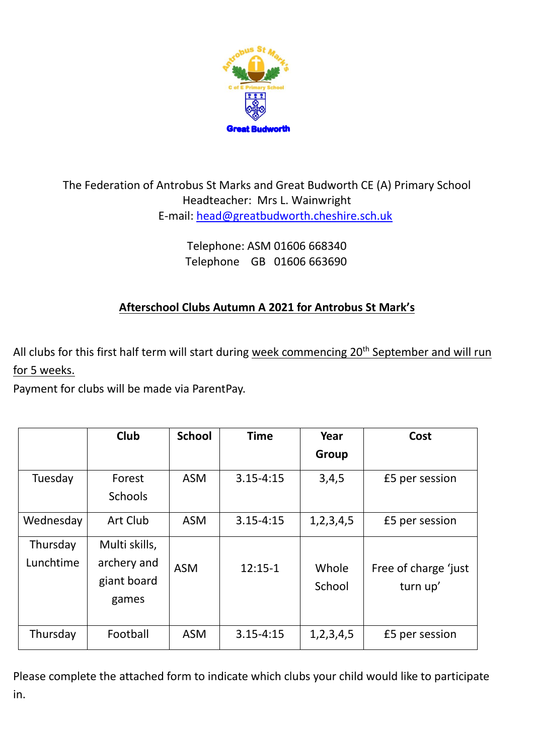

## The Federation of Antrobus St Marks and Great Budworth CE (A) Primary School Headteacher: Mrs L. Wainwright E-mail: [head@greatbudworth.cheshire.sch.uk](mailto:head@greatbudworth.cheshire.sch.uk)

Telephone: ASM 01606 668340 Telephone GB 01606 663690

## **Afterschool Clubs Autumn A 2021 for Antrobus St Mark's**

All clubs for this first half term will start during week commencing 20<sup>th</sup> September and will run for 5 weeks.

Payment for clubs will be made via ParentPay.

|                       | <b>Club</b>                                          | <b>School</b> | <b>Time</b>   | Year            | Cost                             |
|-----------------------|------------------------------------------------------|---------------|---------------|-----------------|----------------------------------|
|                       |                                                      |               |               | <b>Group</b>    |                                  |
| Tuesday               | Forest<br><b>Schools</b>                             | <b>ASM</b>    | $3.15 - 4:15$ | 3,4,5           | £5 per session                   |
| Wednesday             | Art Club                                             | <b>ASM</b>    | $3.15 - 4:15$ | 1, 2, 3, 4, 5   | £5 per session                   |
| Thursday<br>Lunchtime | Multi skills,<br>archery and<br>giant board<br>games | <b>ASM</b>    | $12:15-1$     | Whole<br>School | Free of charge 'just<br>turn up' |
| Thursday              | Football                                             | <b>ASM</b>    | $3.15 - 4:15$ | 1, 2, 3, 4, 5   | £5 per session                   |

Please complete the attached form to indicate which clubs your child would like to participate in.